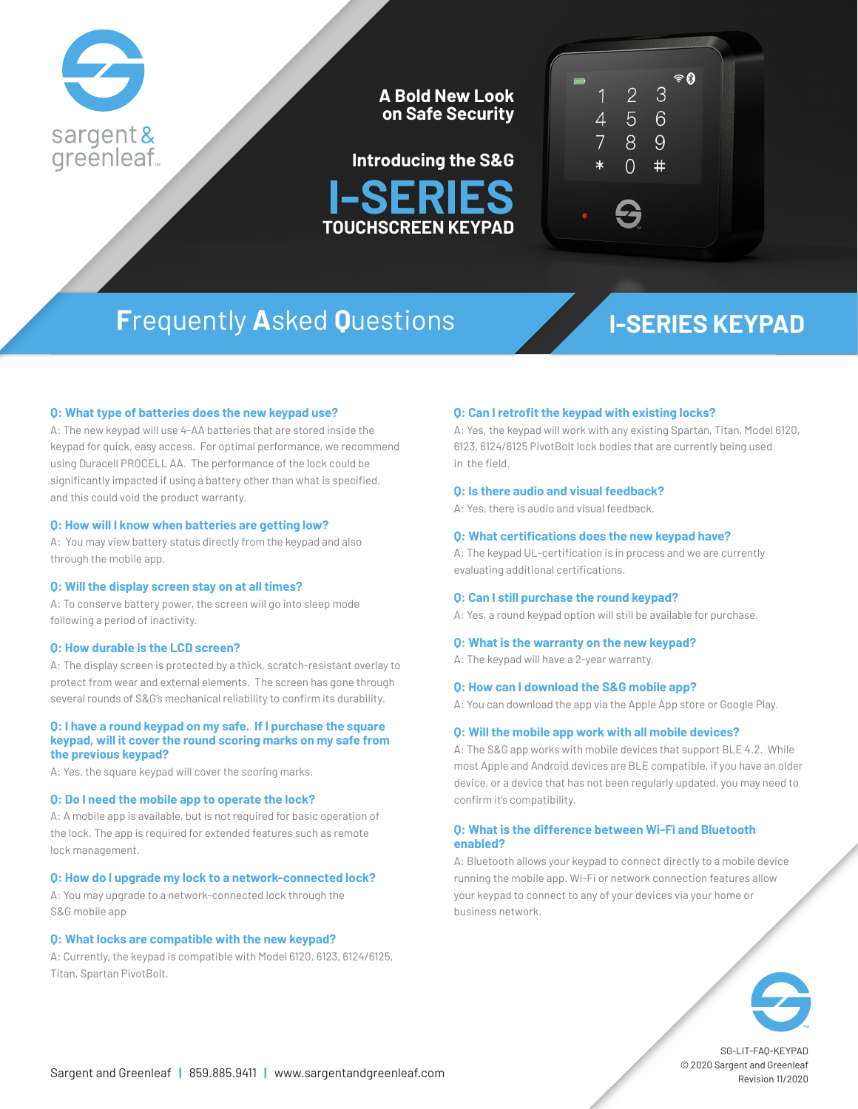

**A Bold New Look on Safe Security**





# **F**requently **A**sked **Q**uestions **I-SERIES KEYPAD**

### **Q: What type of batteries does the new keypad use?**

A: The new keypad will use 4-AA batteries that are stored inside the keypad for quick, easy access. For optimal performance, we recommend using Duracell PROCELL AA. The performance of the lock could be significantly impacted if using a battery other than what is specified, and this could void the product warranty.

#### **Q: How will I know when batteries are getting low?**

A: You may view battery status directly from the keypad and also through the mobile app.

#### **Q: Will the display screen stay on at all times?**

A: To conserve battery power, the screen will go into sleep mode following a period of inactivity.

### **Q: How durable is the LCD screen?**

A: The display screen is protected by a thick, scratch-resistant overlay to protect from wear and external elements. The screen has gone through several rounds of S&G's mechanical reliability to confirm its durability.

#### **Q: I have a round keypad on my safe. If I purchase the square keypad, will it cover the round scoring marks on my safe from the previous keypad?**

A: Yes, the square keypad will cover the scoring marks.

#### **Q: Do I need the mobile app to operate the lock?**

A: A mobile app is available, but is not required for basic operation of the lock. The app is required for extended features such as remote lock management.

#### **Q: How do I upgrade my lock to a network-connected lock?**

A: You may upgrade to a network-connected lock through the S&G mobile app

### **Q: What locks are compatible with the new keypad?**

A: Currently, the keypad is compatible with Model 6120, 6123, 6124/6125, Titan, Spartan PivotBolt.

#### **Q: Can I retrofit the keypad with existing locks?**

A: Yes, the keypad will work with any existing Spartan, Titan, Model 6120, 6123, 6124/6125 PivotBolt lock bodies that are currently being used in the field.

#### **Q: Is there audio and visual feedback?**

A: Yes, there is audio and visual feedback.

#### **Q: What certifications does the new keypad have?**

A: The keypad UL-certification is in process and we are currently evaluating additional certifications.

#### **Q: Can I still purchase the round keypad?**

A: Yes, a round keypad option will still be available for purchase.

#### **Q: What is the warranty on the new keypad?**

A: The keypad will have a 2-year warranty.

#### **Q: How can I download the S&G mobile app?**

A: You can download the app via the Apple App store or Google Play.

#### **Q: Will the mobile app work with all mobile devices?**

A: The S&G app works with mobile devices that support BLE 4.2. While most Apple and Android devices are BLE compatible, if you have an older device, or a device that has not been regularly updated, you may need to confirm it's compatibility.

### **Q: What is the difference between Wi-Fi and Bluetooth enabled?**

A: Bluetooth allows your keypad to connect directly to a mobile device running the mobile app. Wi-Fi or network connection features allow your keypad to connect to any of your devices via your home or business network.



SG-LIT-FAQ-KEYPAD © 2020 Sargent and Greenleaf Revision 11/2020